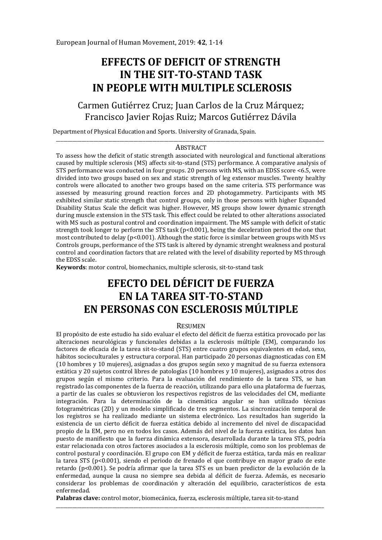# **EFFECTS OF DEFICIT OF STRENGTH IN THE SIT-TO-STAND TASK IN PEOPLE WITH MULTIPLE SCLEROSIS**

## Carmen Gutiérrez Cruz; Juan Carlos de la Cruz Márquez; Francisco Javier Rojas Ruiz; Marcos Gutiérrez Dávila

Department of Physical Education and Sports. University of Granada, Spain.

#### \_\_\_\_\_\_\_\_\_\_\_\_\_\_\_\_\_\_\_\_\_\_\_\_\_\_\_\_\_\_\_\_\_\_\_\_\_\_\_\_\_\_\_\_\_\_\_\_\_\_\_\_\_\_\_\_\_\_\_\_\_\_\_\_\_\_\_\_\_\_\_\_\_\_\_\_\_\_\_\_\_\_\_\_\_\_\_\_\_\_\_\_\_\_\_\_\_\_\_\_\_\_\_\_\_\_\_\_\_\_\_\_\_\_ **ABSTRACT**

To assess how the deficit of static strength associated with neurological and functional alterations caused by multiple sclerosis (MS) affects sit-to-stand (STS) performance. A comparative analysis of STS performance was conducted in four groups. 20 persons with MS, with an EDSS score <6.5, were divided into two groups based on sex and static strength of leg extensor muscles. Twenty healthy controls were allocated to another two groups based on the same criteria. STS performance was assessed by measuring ground reaction forces and 2D photogammetry. Participants with MS exhibited similar static strength that control groups, only in those persons with higher Expanded Disability Status Scale the deficit was higher. However, MS groups show lower dynamic strength during muscle extension in the STS task. This effect could be related to other alterations associated with MS such as postural control and coordination impairment. The MS sample with deficit of static strength took longer to perform the STS task  $(p<0.001)$ , being the deceleration period the one that most contributed to delay ( $p<0.001$ ). Although the static force is similar between groups with MS vs Controls groups, performance of the STS task is altered by dynamic strenght weakness and postural control and coordination factors that are related with the level of disability reported by MS through the EDSS scale.

**Keywords**: motor control, biomechanics, multiple sclerosis, sit-to-stand task

## **EFECTO DEL DÉFICIT DE FUERZA EN LA TAREA SIT-TO-STAND EN PERSONAS CON ESCLEROSIS MÚLTIPLE**

#### RESUMEN

El propósito de este estudio ha sido evaluar el efecto del déficit de fuerza estática provocado por las alteraciones neurológicas y funcionales debidas a la esclerosis múltiple (EM), comparando los factores de eficacia de la tarea sit-to-stand (STS) entre cuatro grupos equivalentes en edad, sexo, hábitos socioculturales y estructura corporal. Han participado 20 personas diagnosticadas con EM (10 hombres y 10 mujeres), asignadas a dos grupos según sexo y magnitud de su fuerza extensora estática y 20 sujetos control libres de patologías (10 hombres y 10 mujeres), asignados a otros dos grupos según el mismo criterio. Para la evaluación del rendimiento de la tarea STS, se han registrado las componentes de la fuerza de reacción, utilizando para ello una plataforma de fuerzas, a partir de las cuales se obtuvieron los respectivos registros de las velocidades del CM, mediante integración. Para la determinación de la cinemática angular se han utilizado técnicas fotogramétricas (2D) y un modelo simplificado de tres segmentos. La sincronización temporal de los registros se ha realizado mediante un sistema electrónico. Los resultados han sugerido la existencia de un cierto déficit de fuerza estática debido al incremento del nivel de discapacidad propio de la EM, pero no en todos los casos. Además del nivel de la fuerza estática, los datos han puesto de manifiesto que la fuerza dinámica extensora, desarrollada durante la tarea STS, podría estar relacionada con otros factores asociados a la esclerosis múltiple, como son los problemas de control postural y coordinación. El grupo con EM y déficit de fuerza estática, tarda más en realizar la tarea STS (p<0.001), siendo el periodo de frenado el que contribuye en mayor grado de este retardo (p<0.001). Se podría afirmar que la tarea STS es un buen predictor de la evolución de la enfermedad, aunque la causa no siempre sea debida al déficit de fuerza. Además, es necesario considerar los problemas de coordinación y alteración del equilibrio, característicos de esta enfermedad.

**Palabras clave:** control motor, biomecánica, fuerza, esclerosis múltiple, tarea sit-to-stand

\_\_\_\_\_\_\_\_\_\_\_\_\_\_\_\_\_\_\_\_\_\_\_\_\_\_\_\_\_\_\_\_\_\_\_\_\_\_\_\_\_\_\_\_\_\_\_\_\_\_\_\_\_\_\_\_\_\_\_\_\_\_\_\_\_\_\_\_\_\_\_\_\_\_\_\_\_\_\_\_\_\_\_\_\_\_\_\_\_\_\_\_\_\_\_\_\_\_\_\_\_\_\_\_\_\_\_\_\_\_\_\_\_\_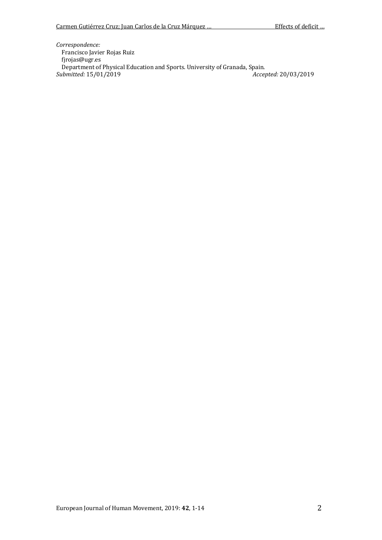*Correspondence:*  Francisco Javier Rojas Ruiz fjrojas@ugr.es Department of Physical Education and Sports. University of Granada, Spain.<br> *ubmitted*: 15/01/2019<br> *Accepted*: 20/03/2019  $$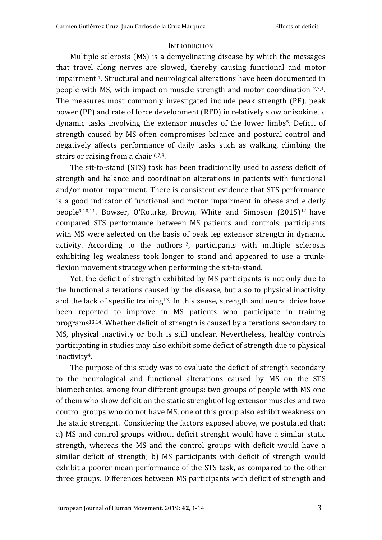### **INTRODUCTION**

Multiple sclerosis (MS) is a demyelinating disease by which the messages that travel along nerves are slowed, thereby causing functional and motor impairment 1. Structural and neurological alterations have been documented in people with MS, with impact on muscle strength and motor coordination  $2.3.4$ . The measures most commonly investigated include peak strength (PF), peak power (PP) and rate of force development (RFD) in relatively slow or isokinetic dynamic tasks involving the extensor muscles of the lower limbs<sup>5</sup>. Deficit of strength caused by MS often compromises balance and postural control and negatively affects performance of daily tasks such as walking, climbing the stairs or raising from a chair 6,7,8.

The sit-to-stand (STS) task has been traditionally used to assess deficit of strength and balance and coordination alterations in patients with functional and/or motor impairment. There is consistent evidence that STS performance is a good indicator of functional and motor impairment in obese and elderly people9,10,11. Bowser, O'Rourke, Brown, White and Simpson (2015)12 have compared STS performance between MS patients and controls; participants with MS were selected on the basis of peak leg extensor strength in dynamic activity. According to the authors<sup>12</sup>, participants with multiple sclerosis exhibiting leg weakness took longer to stand and appeared to use a trunkflexion movement strategy when performing the sit-to-stand.

Yet, the deficit of strength exhibited by MS participants is not only due to the functional alterations caused by the disease, but also to physical inactivity and the lack of specific training<sup>13</sup>. In this sense, strength and neural drive have been reported to improve in MS patients who participate in training programs13,14. Whether deficit of strength is caused by alterations secondary to MS, physical inactivity or both is still unclear. Nevertheless, healthy controls participating in studies may also exhibit some deficit of strength due to physical inactivity4.

The purpose of this study was to evaluate the deficit of strength secondary to the neurological and functional alterations caused by MS on the STS biomechanics, among four different groups: two groups of people with MS one of them who show deficit on the static strenght of leg extensor muscles and two control groups who do not have MS, one of this group also exhibit weakness on the static strenght. Considering the factors exposed above, we postulated that: a) MS and control groups without deficit strenght would have a similar static strength, whereas the MS and the control groups with deficit would have a similar deficit of strength; b) MS participants with deficit of strength would exhibit a poorer mean performance of the STS task, as compared to the other three groups. Differences between MS participants with deficit of strength and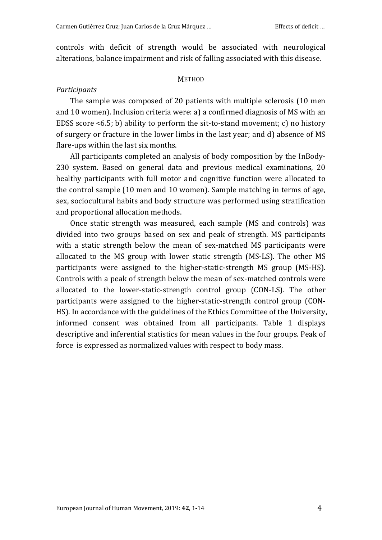controls with deficit of strength would be associated with neurological alterations, balance impairment and risk of falling associated with this disease.

#### **METHOD**

#### *Participants*

The sample was composed of 20 patients with multiple sclerosis (10 men and 10 women). Inclusion criteria were: a) a confirmed diagnosis of MS with an EDSS score <6.5; b) ability to perform the sit-to-stand movement; c) no history of surgery or fracture in the lower limbs in the last year; and d) absence of MS flare-ups within the last six months.

All participants completed an analysis of body composition by the InBody-230 system. Based on general data and previous medical examinations, 20 healthy participants with full motor and cognitive function were allocated to the control sample (10 men and 10 women). Sample matching in terms of age, sex, sociocultural habits and body structure was performed using stratification and proportional allocation methods.

Once static strength was measured, each sample (MS and controls) was divided into two groups based on sex and peak of strength. MS participants with a static strength below the mean of sex-matched MS participants were allocated to the MS group with lower static strength (MS-LS). The other MS participants were assigned to the higher-static-strength MS group (MS-HS). Controls with a peak of strength below the mean of sex-matched controls were allocated to the lower-static-strength control group (CON-LS). The other participants were assigned to the higher-static-strength control group (CON-HS). In accordance with the guidelines of the Ethics Committee of the University, informed consent was obtained from all participants. Table 1 displays descriptive and inferential statistics for mean values in the four groups. Peak of force is expressed as normalized values with respect to body mass.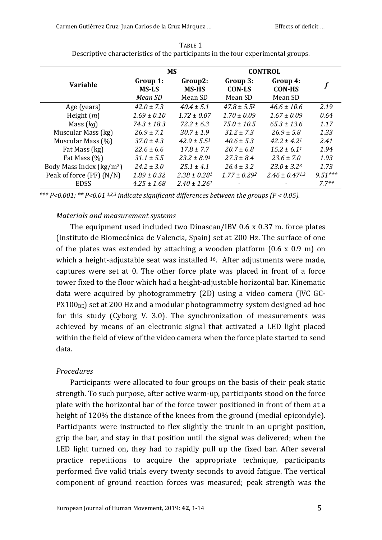|                                         | <b>MS</b>                           |                                    | <b>CONTROL</b>                       |                                      |           |
|-----------------------------------------|-------------------------------------|------------------------------------|--------------------------------------|--------------------------------------|-----------|
| <b>Variable</b>                         | Group 1:<br><b>MS-LS</b><br>Mean SD | Group2:<br><b>MS-HS</b><br>Mean SD | Group 3:<br><b>CON-LS</b><br>Mean SD | Group 4:<br><b>CON-HS</b><br>Mean SD |           |
| Age (years)                             | $42.0 + 7.3$                        | $40.4 + 5.1$                       | $47.8 + 5.5^{2}$                     | $46.6 + 10.6$                        | 2.19      |
| Height $(m)$                            | $1.69 \pm 0.10$                     | $1.72 \pm 0.07$                    | $1.70 \pm 0.09$                      | $1.67 \pm 0.09$                      | 0.64      |
| Mass $(ka)$                             | $74.3 \pm 18.3$                     | $72.2 + 6.3$                       | $75.0 + 10.5$                        | $65.3 + 13.6$                        | 1.17      |
| Muscular Mass (kg)                      | $26.9 \pm 7.1$                      | $30.7 + 1.9$                       | $31.2 \pm 7.3$                       | $26.9 \pm 5.8$                       | 1.33      |
| Muscular Mass (%)                       | $37.0 \pm 4.3$                      | $42.9 + 5.51$                      | $40.6 + 5.3$                         | $42.2 + 4.21$                        | 2.41      |
| Fat Mass (kg)                           | $22.6 \pm 6.6$                      | $17.8 \pm 7.7$                     | $20.7 + 6.8$                         | $15.2 + 6.11$                        | 1.94      |
| Fat Mass (%)                            | $31.1 \pm 5.5$                      | $23.2 \pm 8.91$                    | $27.3 \pm 8.4$                       | $23.6 \pm 7.0$                       | 1.93      |
| Body Mass Index $\frac{\text{kg}}{m^2}$ | $24.2 \pm 3.0$                      | $25.1 \pm 4.1$                     | $26.4 \pm 3.2$                       | $23.0 \pm 3.2^3$                     | 1.73      |
| Peak of force (PF) (N/N)                | $1.89 \pm 0.32$                     | $2.38 + 0.281$                     | $1.77 + 0.292$                       | $2.46 + 0.4713$                      | $9.51***$ |
| <b>EDSS</b>                             | $4.25 \pm 1.68$                     | $2.40 \pm 1.261$                   |                                      |                                      | $77**$    |

TABLE 1 Descriptive characteristics of the participants in the four experimental groups.

\*\*\*  $P < 0.001$ ; \*\*  $P < 0.01$  <sup>1,2,3</sup> indicate significant differences between the groups ( $P < 0.05$ ).

#### *Materials and measurement systems*

The equipment used included two Dinascan/IBV 0.6 x 0.37 m. force plates (Instituto de Biomecánica de Valencia, Spain) set at 200 Hz. The surface of one of the plates was extended by attaching a wooden platform  $(0.6 \times 0.9 \text{ m})$  on which a height-adjustable seat was installed <sup>16</sup>. After adjustments were made, captures were set at 0. The other force plate was placed in front of a force tower fixed to the floor which had a height-adjustable horizontal bar. Kinematic data were acquired by photogrammetry (2D) using a video camera (JVC GC- $PX100<sub>BE</sub>$ ) set at 200 Hz and a modular photogrammetry system designed ad hoc for this study (Cyborg V. 3.0). The synchronization of measurements was achieved by means of an electronic signal that activated a LED light placed within the field of view of the video camera when the force plate started to send data.

#### *Procedures*

Participants were allocated to four groups on the basis of their peak static strength. To such purpose, after active warm-up, participants stood on the force plate with the horizontal bar of the force tower positioned in front of them at a height of 120% the distance of the knees from the ground (medial epicondyle). Participants were instructed to flex slightly the trunk in an upright position, grip the bar, and stay in that position until the signal was delivered; when the LED light turned on, they had to rapidly pull up the fixed bar. After several practice repetitions to acquire the appropriate technique, participants performed five valid trials every twenty seconds to avoid fatigue. The vertical component of ground reaction forces was measured; peak strength was the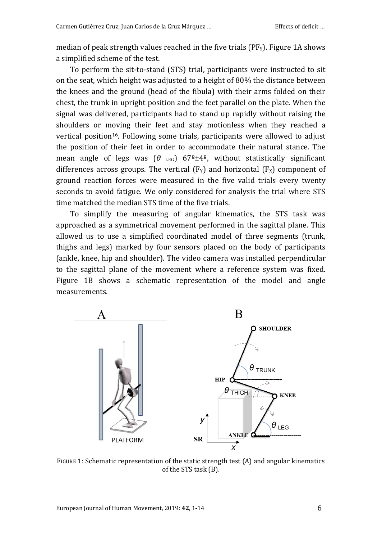median of peak strength values reached in the five trials  $(PF<sub>S</sub>)$ . Figure 1A shows a simplified scheme of the test.

To perform the sit-to-stand (STS) trial, participants were instructed to sit on the seat, which height was adjusted to a height of 80% the distance between the knees and the ground (head of the fibula) with their arms folded on their chest, the trunk in upright position and the feet parallel on the plate. When the signal was delivered, participants had to stand up rapidly without raising the shoulders or moving their feet and stay motionless when they reached a vertical position16. Following some trials, participants were allowed to adjust the position of their feet in order to accommodate their natural stance. The mean angle of legs was  $(\theta_{\text{LEG}})$  67<sup>o</sup> $\pm$ 4<sup>o</sup>, without statistically significant differences across groups. The vertical  $(F_Y)$  and horizontal  $(F_X)$  component of ground reaction forces were measured in the five valid trials every twenty seconds to avoid fatigue. We only considered for analysis the trial where STS time matched the median STS time of the five trials.

To simplify the measuring of angular kinematics, the STS task was approached as a symmetrical movement performed in the sagittal plane. This allowed us to use a simplified coordinated model of three segments (trunk, thighs and legs) marked by four sensors placed on the body of participants (ankle, knee, hip and shoulder). The video camera was installed perpendicular to the sagittal plane of the movement where a reference system was fixed. Figure 1B shows a schematic representation of the model and angle measurements.



FIGURE 1: Schematic representation of the static strength test (A) and angular kinematics of the STS task (B).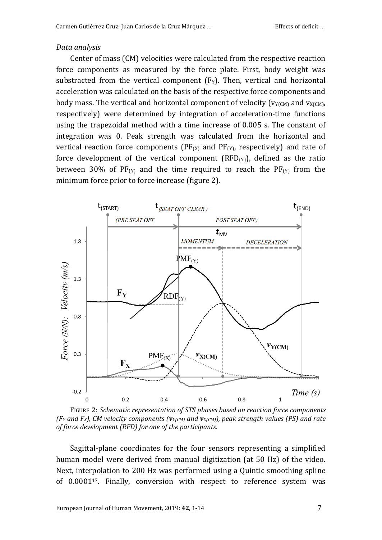#### *Data analysis*

Center of mass (CM) velocities were calculated from the respective reaction force components as measured by the force plate. First, body weight was substracted from the vertical component  $(F_Y)$ . Then, vertical and horizontal acceleration was calculated on the basis of the respective force components and body mass. The vertical and horizontal component of velocity ( $v_{Y(CM)}$  and  $v_{X(CM)}$ , respectively) were determined by integration of acceleration-time functions using the trapezoidal method with a time increase of 0.005 s. The constant of integration was 0. Peak strength was calculated from the horizontal and vertical reaction force components ( $PF_{(X)}$  and  $PF_{(Y)}$ , respectively) and rate of force development of the vertical component  $(RFD<sub>(Y)</sub>)$ , defined as the ratio between 30% of  $PF_{(Y)}$  and the time required to reach the  $PF_{(Y)}$  from the minimum force prior to force increase (figure 2).



FIGURE 2: *Schematic representation of STS phases based on reaction force components (FY and FX), CM velocity components (vY(CM) and vX(CM)), peak strength values (PS) and rate of force development (RFD) for one of the participants*.

Sagittal-plane coordinates for the four sensors representing a simplified human model were derived from manual digitization (at 50 Hz) of the video. Next, interpolation to 200 Hz was performed using a Quintic smoothing spline of 0.000117. Finally, conversion with respect to reference system was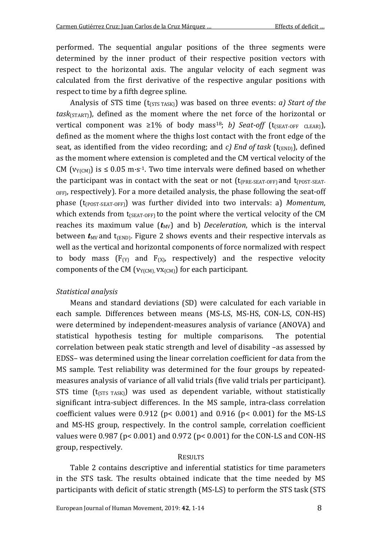performed. The sequential angular positions of the three segments were determined by the inner product of their respective position vectors with respect to the horizontal axis. The angular velocity of each segment was calculated from the first derivative of the respective angular positions with respect to time by a fifth degree spline.

Analysis of STS time (t<sub>(STS TASK)</sub>) was based on three events: *a) Start of the task*(START)), defined as the moment where the net force of the horizontal or vertical component was  $\geq 1\%$  of body mass<sup>18</sup>; *b) Seat-off* (t<sub>(SEAT-OFF</sub> CLEAR)), defined as the moment where the thighs lost contact with the front edge of the seat, as identified from the video recording; and *c)* End of task ( $t_{\text{(FND)}}$ ), defined as the moment where extension is completed and the CM vertical velocity of the CM ( $v_{Y(CM)}$ ) is  $\leq 0.05$  m·s<sup>-1</sup>. Two time intervals were defined based on whether the participant was in contact with the seat or not  $(t_{PRE-SEAT-OFF})$  and  $t_{(POST-SEAT _{\text{OFF}}$ , respectively). For a more detailed analysis, the phase following the seat-off phase (t(POST-SEAT-OFF)) was further divided into two intervals: a) *Momentum*, which extends from  $t_{(SEAT-OFF)}$  to the point where the vertical velocity of the CM reaches its maximum value  $(t_{MV})$  and b) *Deceleration*, which is the interval between  $t_{MV}$  and  $t_{(END)}$ . Figure 2 shows events and their respective intervals as well as the vertical and horizontal components of force normalized with respect to body mass  $(F_{(Y)}$  and  $F_{(X)}$ , respectively) and the respective velocity components of the CM ( $v_{Y(CM)}$ ,  $vx_{(CM)}$ ) for each participant.

#### *Statistical analysis*

Means and standard deviations (SD) were calculated for each variable in each sample. Differences between means (MS-LS, MS-HS, CON-LS, CON-HS) were determined by independent-measures analysis of variance (ANOVA) and statistical hypothesis testing for multiple comparisons. The potential correlation between peak static strength and level of disability –as assessed by EDSS– was determined using the linear correlation coefficient for data from the MS sample. Test reliability was determined for the four groups by repeatedmeasures analysis of variance of all valid trials (five valid trials per participant). STS time  $(t_{(STS\;TASK)})$  was used as dependent variable, without statistically significant intra-subject differences. In the MS sample, intra-class correlation coefficient values were  $0.912$  (p<  $0.001$ ) and  $0.916$  (p<  $0.001$ ) for the MS-LS and MS-HS group, respectively. In the control sample, correlation coefficient values were 0.987 (p< 0.001) and 0.972 (p< 0.001) for the CON-LS and CON-HS group, respectively.

#### RESULTS

Table 2 contains descriptive and inferential statistics for time parameters in the STS task. The results obtained indicate that the time needed by MS participants with deficit of static strength (MS-LS) to perform the STS task (STS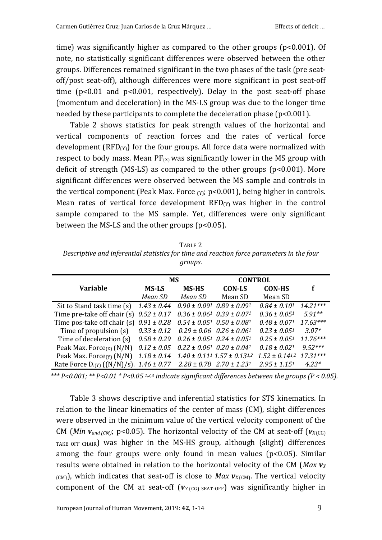time) was significantly higher as compared to the other groups (p<0.001). Of note, no statistically significant differences were observed between the other groups. Differences remained significant in the two phases of the task (pre seatoff/post seat-off), although differences were more significant in post seat-off time (p<0.01 and p<0.001, respectively). Delay in the post seat-off phase (momentum and deceleration) in the MS-LS group was due to the longer time needed by these participants to complete the deceleration phase  $(p<0.001)$ .

Table 2 shows statistics for peak strength values of the horizontal and vertical components of reaction forces and the rates of vertical force development ( $RFD(y)$ ) for the four groups. All force data were normalized with respect to body mass. Mean  $PF_{(X)}$  was significantly lower in the MS group with deficit of strength (MS-LS) as compared to the other groups (p<0.001). More significant differences were observed between the MS sample and controls in the vertical component (Peak Max. Force  $(y<sub>i</sub>)$ ; p<0.001), being higher in controls. Mean rates of vertical force development  $RFD<sub>(Y)</sub>$  was higher in the control sample compared to the MS sample. Yet, differences were only significant between the MS-LS and the other groups  $(p<0.05)$ .

TABLE 2 *Descriptive and inferential statistics for time and reaction force parameters in the four groups*.

|                                                                                 | <b>MS</b>       |                                                           | <b>CONTROL</b>                                              |                       |            |
|---------------------------------------------------------------------------------|-----------------|-----------------------------------------------------------|-------------------------------------------------------------|-----------------------|------------|
| <b>Variable</b>                                                                 | <b>MS-LS</b>    | <b>MS-HS</b>                                              | <b>CON-LS</b>                                               | <b>CON-HS</b>         |            |
|                                                                                 | Mean SD         | Mean SD                                                   | Mean SD                                                     | Mean SD               |            |
| Sit to Stand task time (s)                                                      | $1.43 \pm 0.44$ | $0.90 \pm 0.09$ <sup>1</sup> $0.89 \pm 0.09$ <sup>1</sup> |                                                             | $0.84 \pm 0.101$      | $14.21***$ |
| Time pre-take off chair (s) $0.52 \pm 0.17$                                     |                 | $0.36 \pm 0.061$ $0.39 \pm 0.071$                         |                                                             | $0.36 \pm 0.051$      | $5.91**$   |
| Time pos-take off chair (s) $0.91 \pm 0.28$                                     |                 | $0.54 \pm 0.05^1$ $0.50 \pm 0.08^1$                       |                                                             | $0.48 \pm 0.071$      | $17.63***$ |
| Time of propulsion (s)                                                          | $0.33 \pm 0.12$ |                                                           | $0.29 \pm 0.06$ $0.26 \pm 0.061$                            | $0.23 \pm 0.051$      | $3.07*$    |
| Time of deceleration (s)                                                        | $0.58 \pm 0.29$ | $0.26 \pm 0.05^1$ $0.24 \pm 0.05^1$                       |                                                             | $0.25 \pm 0.051$      | $11.76***$ |
| Peak Max. Force $(x)$ (N/N)                                                     | $0.12 \pm 0.05$ | $0.22 \pm 0.061$ $0.20 \pm 0.041$                         |                                                             | $0.18 \pm 0.021$      | $9.52***$  |
| Peak Max. Force $(y)$ (N/N)                                                     | $1.18 \pm 0.14$ |                                                           | $1.40 \pm 0.11$ <sup>1</sup> $1.57 \pm 0.13$ <sup>1,2</sup> | $1.52 \pm 0.14^{1.2}$ | $17.31***$ |
| Rate Force D.(y) $((N/N)/s)$ . 1.46 ± 0.77 2.28 ± 0.78 2.70 ± 1.23 <sup>1</sup> |                 |                                                           |                                                             | $2.95 \pm 1.15^1$     | $4.23*$    |

*\*\*\* P<0.001; \*\* P<0.01 \* P<0.05 1,2,3 indicate significant differences between the groups (P < 0.05).*

Table 3 shows descriptive and inferential statistics for STS kinematics. In relation to the linear kinematics of the center of mass (CM), slight differences were observed in the minimum value of the vertical velocity component of the CM (*Min*  $v_{and\, (CM)}$ ; p<0.05). The horizontal velocity of the CM at seat-off ( $v_{X(G)}$ ) TAKE OFF CHAIR) was higher in the MS-HS group, although (slight) differences among the four groups were only found in mean values ( $p$ <0.05). Similar results were obtained in relation to the horizontal velocity of the CM ( $Max$   $v_X$ )  $(C(M))$ , which indicates that seat-off is close to *Max*  $v_{X(C(M))}$ . The vertical velocity component of the CM at seat-off  $(v_{Y \cap CG)}$  sear-off) was significantly higher in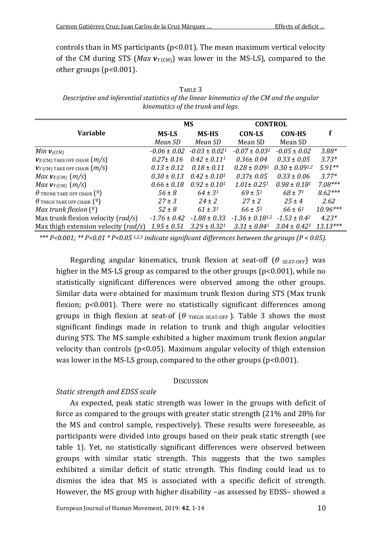controls than in MS participants ( $p$ <0.01). The mean maximum vertical velocity of the CM during STS (*Max*  $v_{Y}$ <sub>(CM</sub>) was lower in the MS-LS), compared to the other groups (p<0.001).

| TABLE 3                                                                                   |
|-------------------------------------------------------------------------------------------|
| Descriptive and inferential statistics of the linear kinematics of the CM and the angular |
| kinematics of the trunk and legs.                                                         |

|                                              |                  | <b>MS</b>         | <b>CONTROL</b>         |                    |            |
|----------------------------------------------|------------------|-------------------|------------------------|--------------------|------------|
| <b>Variable</b>                              | <b>MS-LS</b>     | <b>MS-HS</b>      | <b>CON-LS</b>          | <b>CON-HS</b>      |            |
|                                              | Mean SD          | Mean SD           | Mean SD                | Mean SD            |            |
| Min $v_{y(CM)}$                              | $-0.06 \pm 0.02$ | $-0.03 \pm 0.021$ | $-0.07 \pm 0.032$      | $-0.05 \pm 0.02$   | $3.88*$    |
| $V_X$ (CM) TAKE OFF CHAIR $(m/s)$            | $0.27 \pm 0.16$  | $0.42 \pm 0.111$  | $0.36 + 0.04$          | $0.33 + 0.05$      | $3.73*$    |
| $VY$ (CM) TAKE OFF CHAIR $(m/s)$             | $0.13 \pm 0.12$  | $0.18 + 0.11$     | $0.28 \pm 0.091$       | $0.30 \pm 0.091.2$ | $5.91**$   |
| Max $v_{X\text{(CM)}}$ $(m/s)$               | $0.30 \pm 0.13$  | $0.42 + 0.101$    | $0.37 \pm 0.05$        | $0.33 \pm 0.06$    | $3.77*$    |
| Max $v_{Y(CM)}(m/s)$                         | $0.66 \pm 0.18$  | $0.92 + 0.101$    | $1.01 + 0.251$         | $0.98 \pm 0.181$   | $7.08***$  |
| $\theta$ TRUNK TAKE OFF CHAIR $(9)$          | $56 \pm 8$       | $64 + 31$         | $69 + 51$              | $68 \pm 71$        | $8.62***$  |
| $\theta$ thigh take off chair $\binom{9}{2}$ | $27 \pm 3$       | $24 \pm 2$        | $27 + 2$               | $25 + 4$           | 2.62       |
| Max trunk flexion $(9)$                      | $52 \pm 8$       | $61 + 31$         | $66 + 51$              | $66 + 61$          | $10.96***$ |
| Max trunk flexion velocity ( $rad/s$ )       | $-1.76 \pm 0.42$ | $-1.88 \pm 0.33$  | $-1.36 \pm 0.18^{1.2}$ | $-1.53 \pm 0.42$   | $4.23*$    |
| Max thigh extension velocity ( $rad/s$ )     | $1.95 \pm 0.51$  | $3.29 \pm 0.321$  | $3.31 \pm 0.841$       | $3.04 \pm 0.42^1$  | $13.13***$ |

*\*\*\* P<0.001; \*\* P<0.01 \* P<0.05 1,2,3 indicate significant differences between the groups (P < 0.05).*

Regarding angular kinematics, trunk flexion at seat-off (θ <sub>SEAT-OFF</sub>) was higher in the MS-LS group as compared to the other groups  $(p<0.001)$ , while no statistically significant differences were observed among the other groups. Similar data were obtained for maximum trunk flexion during STS (Max trunk flexion; p<0.001). There were no statistically significant differences among groups in thigh flexion at seat-of  $(\theta$  THIGH SEAT-OFF ). Table 3 shows the most significant findings made in relation to trunk and thigh angular velocities during STS. The MS sample exhibited a higher maximum trunk flexion angular velocity than controls (p<0.05). Maximum angular velocity of thigh extension was lower in the MS-LS group, compared to the other groups (p<0.001).

#### **DISCUSSION**

### *Static strength and EDSS scale*

As expected, peak static strength was lower in the groups with deficit of force as compared to the groups with greater static strength (21% and 28% for the MS and control sample, respectively). These results were foreseeable, as participants were divided into groups based on their peak static strength (see table 1). Yet, no statistically significant differences were observed between groups with similar static strength. This suggests that the two samples exhibited a similar deficit of static strength. This finding could lead us to dismiss the idea that MS is associated with a specific deficit of strength. However, the MS group with higher disability –as assessed by EDSS– showed a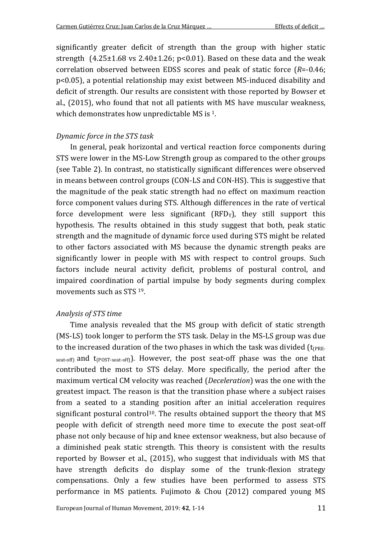significantly greater deficit of strength than the group with higher static strength  $(4.25 \pm 1.68 \text{ vs } 2.40 \pm 1.26; \text{ p} < 0.01)$ . Based on these data and the weak correlation observed between EDSS scores and peak of static force (*R*=-0.46; p<0.05), a potential relationship may exist between MS-induced disability and deficit of strength. Our results are consistent with those reported by Bowser et al., (2015), who found that not all patients with MS have muscular weakness, which demonstrates how unpredictable MS is <sup>1</sup>.

#### *Dynamic force in the STS task*

In general, peak horizontal and vertical reaction force components during STS were lower in the MS-Low Strength group as compared to the other groups (see Table 2). In contrast, no statistically significant differences were observed in means between control groups (CON-LS and CON-HS). This is suggestive that the magnitude of the peak static strength had no effect on maximum reaction force component values during STS. Although differences in the rate of vertical force development were less significant  $(RFD<sub>y</sub>)$ , they still support this hypothesis. The results obtained in this study suggest that both, peak static strength and the magnitude of dynamic force used during STS might be related to other factors associated with MS because the dynamic strength peaks are significantly lower in people with MS with respect to control groups. Such factors include neural activity deficit, problems of postural control, and impaired coordination of partial impulse by body segments during complex movements such as STS 19.

#### *Analysis of STS time*

Time analysis revealed that the MS group with deficit of static strength (MS-LS) took longer to perform the STS task. Delay in the MS-LS group was due to the increased duration of the two phases in which the task was divided  $(t_{PRE}$ seat-off) and  $t_{(POST\text{-}seat\text{-}off)}$ . However, the post seat-off phase was the one that contributed the most to STS delay. More specifically, the period after the maximum vertical CM velocity was reached (*Deceleration*) was the one with the greatest impact. The reason is that the transition phase where a subject raises from a seated to a standing position after an initial acceleration requires significant postural control<sup>10</sup>. The results obtained support the theory that  $MS$ people with deficit of strength need more time to execute the post seat-off phase not only because of hip and knee extensor weakness, but also because of a diminished peak static strength. This theory is consistent with the results reported by Bowser et al., (2015), who suggest that individuals with MS that have strength deficits do display some of the trunk-flexion strategy compensations. Only a few studies have been performed to assess STS performance in MS patients. Fujimoto & Chou (2012) compared young MS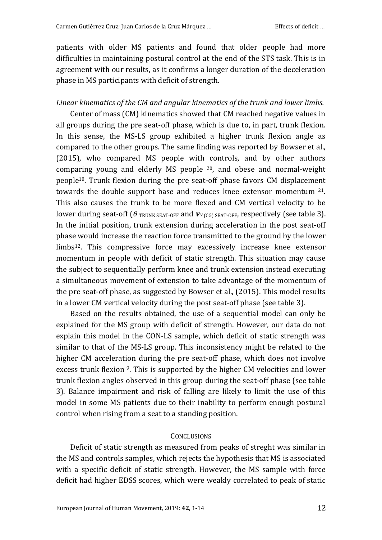patients with older MS patients and found that older people had more difficulties in maintaining postural control at the end of the STS task. This is in agreement with our results, as it confirms a longer duration of the deceleration phase in MS participants with deficit of strength.

#### *Linear kinematics of the CM and angular kinematics of the trunk and lower limbs.*

Center of mass (CM) kinematics showed that CM reached negative values in all groups during the pre seat-off phase, which is due to, in part, trunk flexion. In this sense, the MS-LS group exhibited a higher trunk flexion angle as compared to the other groups. The same finding was reported by Bowser et al., (2015), who compared MS people with controls, and by other authors comparing young and elderly MS people 20, and obese and normal-weight people10. Trunk flexion during the pre seat-off phase favors CM displacement towards the double support base and reduces knee extensor momentum 21. This also causes the trunk to be more flexed and CM vertical velocity to be lower during seat-off (θ TRUNK SEAT-OFF and *VY* (CG) SEAT-OFF, respectively (see table 3). In the initial position, trunk extension during acceleration in the post seat-off phase would increase the reaction force transmitted to the ground by the lower limbs12. This compressive force may excessively increase knee extensor momentum in people with deficit of static strength. This situation may cause the subject to sequentially perform knee and trunk extension instead executing a simultaneous movement of extension to take advantage of the momentum of the pre seat-off phase, as suggested by Bowser et al., (2015). This model results in a lower CM vertical velocity during the post seat-off phase (see table 3).

Based on the results obtained, the use of a sequential model can only be explained for the MS group with deficit of strength. However, our data do not explain this model in the CON-LS sample, which deficit of static strength was similar to that of the MS-LS group. This inconsistency might be related to the higher CM acceleration during the pre seat-off phase, which does not involve excess trunk flexion 9. This is supported by the higher CM velocities and lower trunk flexion angles observed in this group during the seat-off phase (see table 3). Balance impairment and risk of falling are likely to limit the use of this model in some MS patients due to their inability to perform enough postural control when rising from a seat to a standing position.

#### **CONCLUSIONS**

Deficit of static strength as measured from peaks of streght was similar in the MS and controls samples, which rejects the hypothesis that MS is associated with a specific deficit of static strength. However, the MS sample with force deficit had higher EDSS scores, which were weakly correlated to peak of static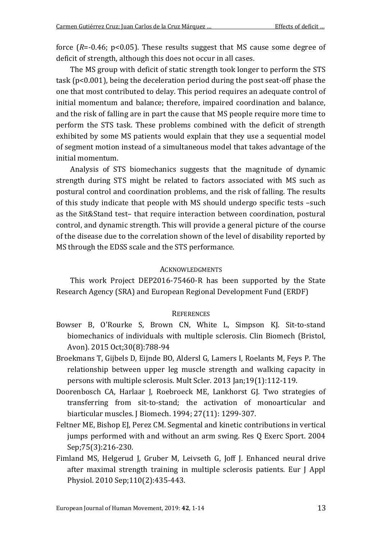force (*R*=-0.46; p<0.05). These results suggest that MS cause some degree of deficit of strength, although this does not occur in all cases.

The MS group with deficit of static strength took longer to perform the STS task (p<0.001), being the deceleration period during the post seat-off phase the one that most contributed to delay. This period requires an adequate control of initial momentum and balance; therefore, impaired coordination and balance, and the risk of falling are in part the cause that MS people require more time to perform the STS task. These problems combined with the deficit of strength exhibited by some MS patients would explain that they use a sequential model of segment motion instead of a simultaneous model that takes advantage of the initial momentum.

Analysis of STS biomechanics suggests that the magnitude of dynamic strength during STS might be related to factors associated with MS such as postural control and coordination problems, and the risk of falling. The results of this study indicate that people with MS should undergo specific tests –such as the Sit&Stand test– that require interaction between coordination, postural control, and dynamic strength. This will provide a general picture of the course of the disease due to the correlation shown of the level of disability reported by MS through the EDSS scale and the STS performance.

#### **ACKNOWLEDGMENTS**

This work Project DEP2016-75460-R has been supported by the State Research Agency (SRA) and European Regional Development Fund (ERDF)

#### **REFERENCES**

- Bowser B, O'Rourke S, Brown CN, White L, Simpson KJ. Sit-to-stand biomechanics of individuals with multiple sclerosis. Clin Biomech (Bristol, Avon). 2015 Oct;30(8):788-94
- Broekmans T, Gijbels D, Eijnde BO, Aldersl G, Lamers I, Roelants M, Feys P. The relationship between upper leg muscle strength and walking capacity in persons with multiple sclerosis. Mult Scler. 2013 Jan;19(1):112-119.
- Doorenbosch CA, Harlaar J, Roebroeck ME, Lankhorst GJ. Two strategies of transferring from sit-to-stand; the activation of monoarticular and biarticular muscles. J Biomech. 1994; 27(11): 1299-307.
- Feltner ME, Bishop EJ, Perez CM. Segmental and kinetic contributions in vertical jumps performed with and without an arm swing. Res Q Exerc Sport. 2004 Sep;75(3):216-230.
- Fimland MS, Helgerud J, Gruber M, Leivseth G, Joff J. Enhanced neural drive after maximal strength training in multiple sclerosis patients. Eur J Appl Physiol. 2010 Sep;110(2):435-443.